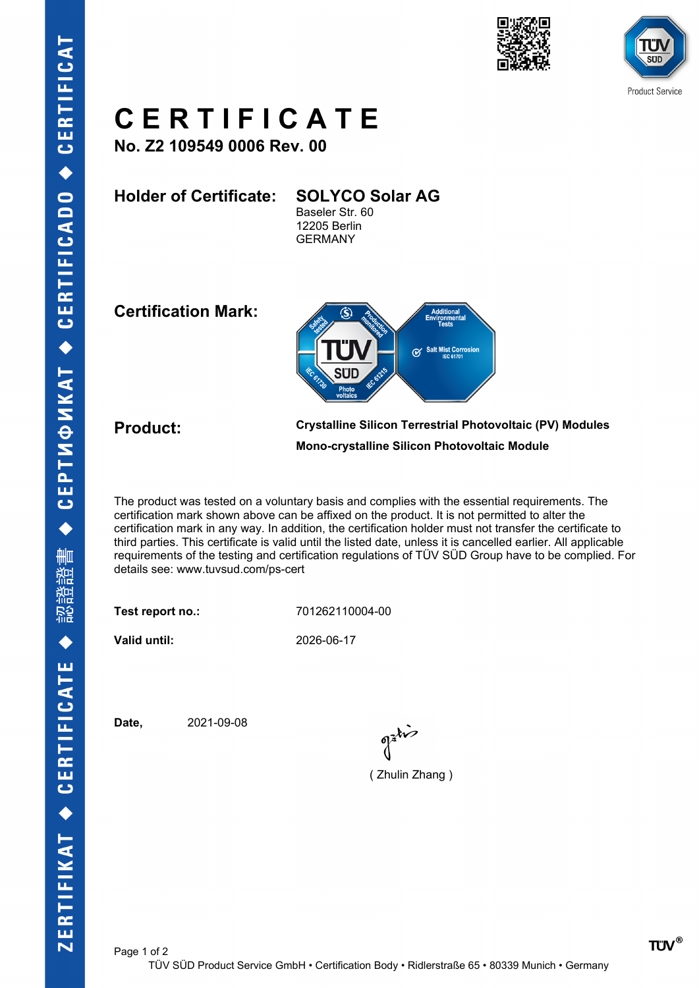





## **C E R T I F I C A T E**

**No. Z2 109549 0006 Rev. 00**

**Holder of Certificate: SOLYCO Solar AG** Baseler Str. 60 12205 Berlin GERMANY

**Certification Mark:**



**Product: Crystalline Silicon Terrestrial Photovoltaic (PV) Modules Mono-crystalline Silicon Photovoltaic Module**

The product was tested on a voluntary basis and complies with the essential requirements. The certification mark shown above can be affixed on the product. It is not permitted to alter the certification mark in any way. In addition, the certification holder must not transfer the certificate to third parties. This certificate is valid until the listed date, unless it is cancelled earlier. All applicable requirements of the testing and certification regulations of TÜV SÜD Group have to be complied. For details see: www.tuvsud.com/ps-cert

**Test report no.:** 701262110004-00

**Valid until:** 2026-06-17

**Date,** 2021-09-08

( Zhulin Zhang )